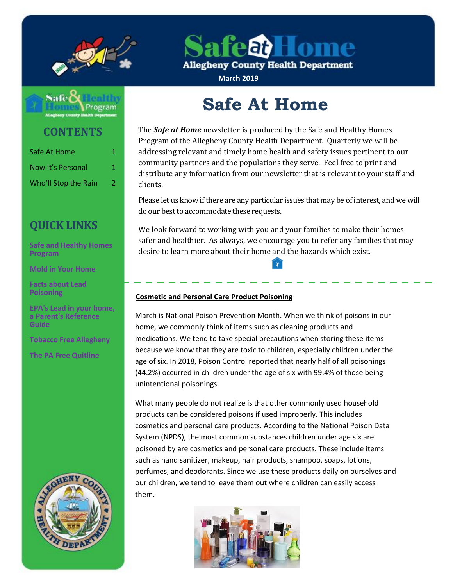

afeat Lome

**Allegheny County Health Department** 

**March 2019**

# Safe

## **CONTENTS**

| Safe At Home                              | 1. |
|-------------------------------------------|----|
| Now It's Personal<br>Who'll Stop the Rain | 1. |
|                                           | 2  |

# **QUICK LINKS**

**[Safe and Healthy Homes](http://www.alleghenycounty.us/Health-Department/Programs/Housing-and-Community-Environment/Safe-and-Healthy-Homes/Safe-and-Healthy-Homes-Program.aspx)  [Program](http://www.alleghenycounty.us/Health-Department/Programs/Housing-and-Community-Environment/Safe-and-Healthy-Homes/Safe-and-Healthy-Homes-Program.aspx)**

**[Mold in Your Home](http://www.alleghenycounty.us/uploadedFiles/Allegheny_Home/Health_Department/Programs/Housing_and_Community_Environment/mold.pdf)**

**[Facts about Lead](http://www.alleghenycounty.us/uploadedFiles/Allegheny_Home/Health_Department/Programs/Special_Initiatives/Lead/FactsAboutLeadPoisoning.pdf)  [Poisoning](http://www.alleghenycounty.us/uploadedFiles/Allegheny_Home/Health_Department/Programs/Special_Initiatives/Lead/FactsAboutLeadPoisoning.pdf)**

**[EPA's Lead in](http://www.alleghenycounty.us/uploadedFiles/Allegheny_Home/Health_Department/Programs/Special_Initiatives/Lead/epa_lead_in_your_home(1).pdf) your home, [a Parent's Reference](http://www.alleghenycounty.us/uploadedFiles/Allegheny_Home/Health_Department/Programs/Special_Initiatives/Lead/epa_lead_in_your_home(1).pdf)  [Guide](http://www.alleghenycounty.us/uploadedFiles/Allegheny_Home/Health_Department/Programs/Special_Initiatives/Lead/epa_lead_in_your_home(1).pdf)**

**[Tobacco Free Allegheny](http://www.tobaccofreeallegheny.org/)**

**[The PA Free Quitline](https://pa.quitlogix.org/)**



# **Safe At Home**

The *Safe at Home* newsletter is produced by the Safe and Healthy Homes Program of the Allegheny County Health Department. Quarterly we will be addressing relevant and timely home health and safety issues pertinent to our community partners and the populations they serve. Feel free to print and distribute any information from our newsletter that is relevant to your staff and clients.

Please let us know if there are any particular issues that may be of interest, and we will do our best to accommodate these requests.

We look forward to working with you and your families to make their homes safer and healthier. As always, we encourage you to refer any families that may desire to learn more about their home and the hazards which exist.

#### **Cosmetic and Personal Care Product Poisoning**

March is National Poison Prevention Month. When we think of poisons in our home, we commonly think of items such as cleaning products and medications. We tend to take special precautions when storing these items because we know that they are toxic to children, especially children under the age of six. In 2018, Poison Control reported that nearly half of all poisonings (44.2%) occurred in children under the age of six with 99.4% of those being unintentional poisonings.

What many people do not realize is that other commonly used household products can be considered poisons if used improperly. This includes cosmetics and personal care products. According to the National Poison Data System (NPDS), the most common substances children under age six are poisoned by are cosmetics and personal care products. These include items such as hand sanitizer, makeup, hair products, shampoo, soaps, lotions, perfumes, and deodorants. Since we use these products daily on ourselves and our children, we tend to leave them out where children can easily access them.

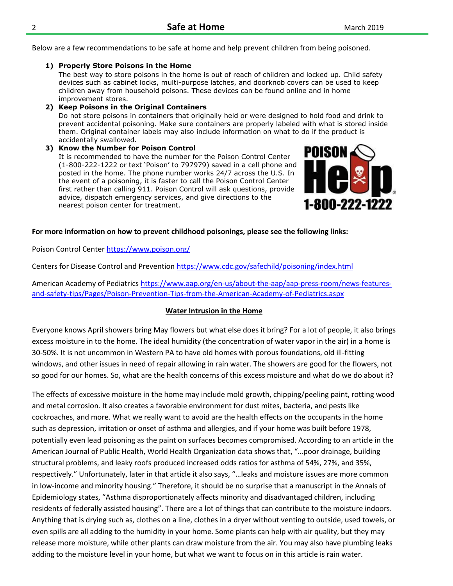Below are a few recommendations to be safe at home and help prevent children from being poisoned.

#### **1) Properly Store Poisons in the Home**

The best way to store poisons in the home is out of reach of children and locked up. Child safety devices such as cabinet locks, multi-purpose latches, and doorknob covers can be used to keep children away from household poisons. These devices can be found online and in home improvement stores.

**2) Keep Poisons in the Original Containers** Do not store poisons in containers that originally held or were designed to hold food and drink to prevent accidental poisoning. Make sure containers are properly labeled with what is stored inside them. Original container labels may also include information on what to do if the product is accidentally swallowed.

**3) Know the Number for Poison Control** It is recommended to have the number for the Poison Control Center (1-800-222-1222 or text 'Poison' to 797979) saved in a cell phone and posted in the home. The phone number works 24/7 across the U.S. In the event of a poisoning, it is faster to call the Poison Control Center first rather than calling 911. Poison Control will ask questions, provide advice, dispatch emergency services, and give directions to the nearest poison center for treatment.



#### **For more information on how to prevent childhood poisonings, please see the following links:**

Poison Control Center<https://www.poison.org/>

Centers for Disease Control and Prevention<https://www.cdc.gov/safechild/poisoning/index.html>

American Academy of Pediatrics [https://www.aap.org/en-us/about-the-aap/aap-press-room/news-features](https://www.aap.org/en-us/about-the-aap/aap-press-room/news-features-and-safety-tips/Pages/Poison-Prevention-Tips-from-the-American-Academy-of-Pediatrics.aspx)[and-safety-tips/Pages/Poison-Prevention-Tips-from-the-American-Academy-of-Pediatrics.aspx](https://www.aap.org/en-us/about-the-aap/aap-press-room/news-features-and-safety-tips/Pages/Poison-Prevention-Tips-from-the-American-Academy-of-Pediatrics.aspx)

#### **Water Intrusion in the Home**

Everyone knows April showers bring May flowers but what else does it bring? For a lot of people, it also brings excess moisture in to the home. The ideal humidity (the concentration of water vapor in the air) in a home is 30-50%. It is not uncommon in Western PA to have old homes with porous foundations, old ill-fitting windows, and other issues in need of repair allowing in rain water. The showers are good for the flowers, not so good for our homes. So, what are the health concerns of this excess moisture and what do we do about it?

The effects of excessive moisture in the home may include mold growth, chipping/peeling paint, rotting wood and metal corrosion. It also creates a favorable environment for dust mites, bacteria, and pests like cockroaches, and more. What we really want to avoid are the health effects on the occupants in the home such as depression, irritation or onset of asthma and allergies, and if your home was built before 1978, potentially even lead poisoning as the paint on surfaces becomes compromised. According to an article in the American Journal of Public Health, World Health Organization data shows that, "…poor drainage, building structural problems, and leaky roofs produced increased odds ratios for asthma of 54%, 27%, and 35%, respectively." Unfortunately, later in that article it also says, "…leaks and moisture issues are more common in low-income and minority housing." Therefore, it should be no surprise that a manuscript in the Annals of Epidemiology states, "Asthma disproportionately affects minority and disadvantaged children, including residents of federally assisted housing". There are a lot of things that can contribute to the moisture indoors. Anything that is drying such as, clothes on a line, clothes in a dryer without venting to outside, used towels, or even spills are all adding to the humidity in your home. Some plants can help with air quality, but they may release more moisture, while other plants can draw moisture from the air. You may also have plumbing leaks adding to the moisture level in your home, but what we want to focus on in this article is rain water.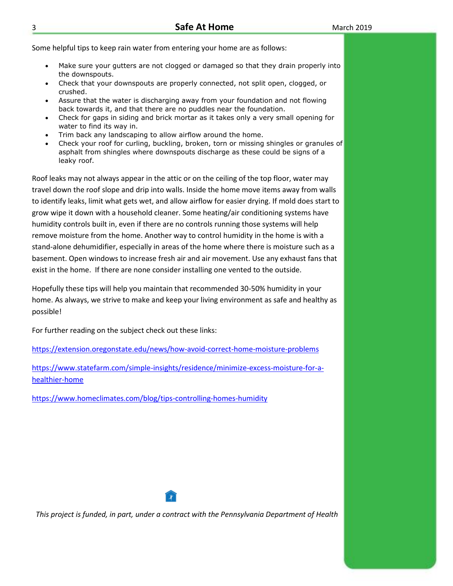Some helpful tips to keep rain water from entering your home are as follows:

- Make sure your gutters are not clogged or damaged so that they drain properly into the downspouts.
- Check that your downspouts are properly connected, not split open, clogged, or crushed.
- Assure that the water is discharging away from your foundation and not flowing back towards it, and that there are no puddles near the foundation.
- Check for gaps in siding and brick mortar as it takes only a very small opening for water to find its way in.
- Trim back any landscaping to allow airflow around the home.
- Check your roof for curling, buckling, broken, torn or missing shingles or granules of asphalt from shingles where downspouts discharge as these could be signs of a leaky roof.

Roof leaks may not always appear in the attic or on the ceiling of the top floor, water may travel down the roof slope and drip into walls. Inside the home move items away from walls to identify leaks, limit what gets wet, and allow airflow for easier drying. If mold does start to grow wipe it down with a household cleaner. Some heating/air conditioning systems have humidity controls built in, even if there are no controls running those systems will help remove moisture from the home. Another way to control humidity in the home is with a stand-alone dehumidifier, especially in areas of the home where there is moisture such as a basement. Open windows to increase fresh air and air movement. Use any exhaust fans that exist in the home. If there are none consider installing one vented to the outside.

Hopefully these tips will help you maintain that recommended 30-50% humidity in your home. As always, we strive to make and keep your living environment as safe and healthy as possible!

For further reading on the subject check out these links:

<https://extension.oregonstate.edu/news/how-avoid-correct-home-moisture-problems>

[https://www.statefarm.com/simple-insights/residence/minimize-excess-moisture-for-a](https://www.statefarm.com/simple-insights/residence/minimize-excess-moisture-for-a-healthier-home)[healthier-home](https://www.statefarm.com/simple-insights/residence/minimize-excess-moisture-for-a-healthier-home)

<https://www.homeclimates.com/blog/tips-controlling-homes-humidity>



*This project is funded, in part, under a contract with the Pennsylvania Department of Health*